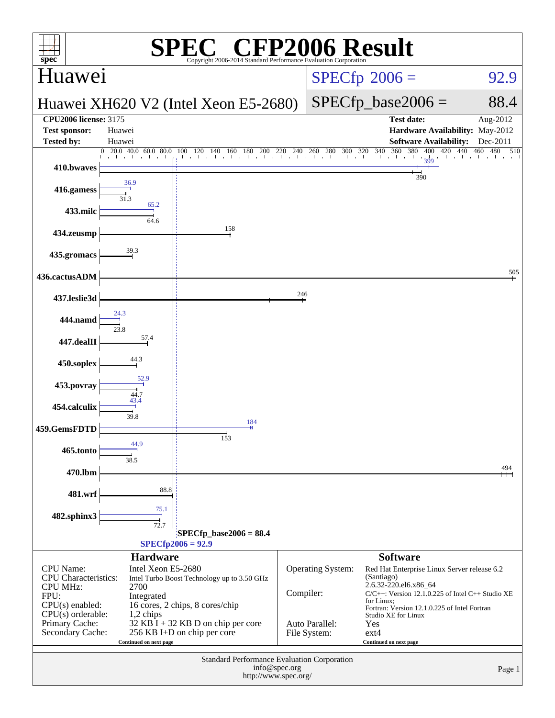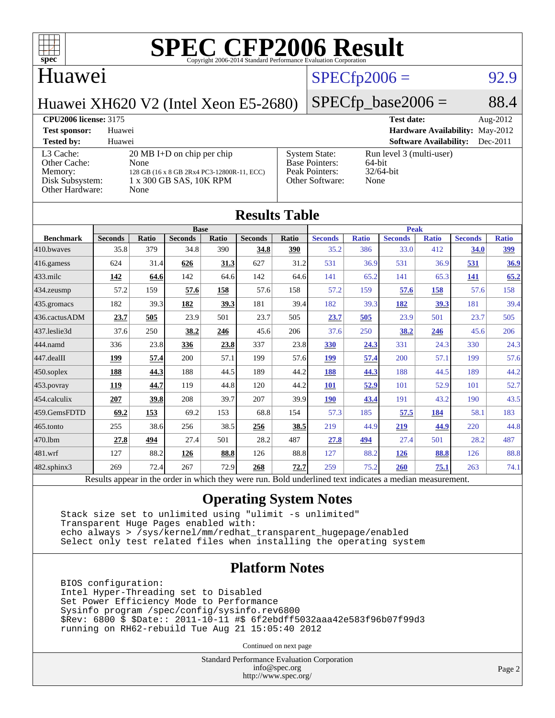

#### Huawei

#### $SPECfp2006 = 92.9$  $SPECfp2006 = 92.9$

Huawei XH620 V2 (Intel Xeon E5-2680)

#### $SPECTp\_base2006 = 88.4$

#### **[CPU2006 license:](http://www.spec.org/auto/cpu2006/Docs/result-fields.html#CPU2006license)** 3175 **[Test date:](http://www.spec.org/auto/cpu2006/Docs/result-fields.html#Testdate)** Aug-2012

**[Test sponsor:](http://www.spec.org/auto/cpu2006/Docs/result-fields.html#Testsponsor)** Huawei **[Hardware Availability:](http://www.spec.org/auto/cpu2006/Docs/result-fields.html#HardwareAvailability)** May-2012 **[Tested by:](http://www.spec.org/auto/cpu2006/Docs/result-fields.html#Testedby)** Huawei **[Software Availability:](http://www.spec.org/auto/cpu2006/Docs/result-fields.html#SoftwareAvailability)** Dec-2011 [L3 Cache:](http://www.spec.org/auto/cpu2006/Docs/result-fields.html#L3Cache) 20 MB I+D on chip per chip<br>Other Cache: None [Other Cache:](http://www.spec.org/auto/cpu2006/Docs/result-fields.html#OtherCache) [Memory:](http://www.spec.org/auto/cpu2006/Docs/result-fields.html#Memory) 128 GB (16 x 8 GB 2Rx4 PC3-12800R-11, ECC) [Disk Subsystem:](http://www.spec.org/auto/cpu2006/Docs/result-fields.html#DiskSubsystem) 1 x 300 GB SAS, 10K RPM [Other Hardware:](http://www.spec.org/auto/cpu2006/Docs/result-fields.html#OtherHardware) None [System State:](http://www.spec.org/auto/cpu2006/Docs/result-fields.html#SystemState) Run level 3 (multi-user)<br>Base Pointers: 64-bit [Base Pointers:](http://www.spec.org/auto/cpu2006/Docs/result-fields.html#BasePointers) 64-bit<br>Peak Pointers: 32/64-bit [Peak Pointers:](http://www.spec.org/auto/cpu2006/Docs/result-fields.html#PeakPointers) [Other Software:](http://www.spec.org/auto/cpu2006/Docs/result-fields.html#OtherSoftware) None

| <b>Results Table</b> |                                                                                                          |              |                |       |                |       |                |              |                |              |                |              |
|----------------------|----------------------------------------------------------------------------------------------------------|--------------|----------------|-------|----------------|-------|----------------|--------------|----------------|--------------|----------------|--------------|
|                      | <b>Base</b>                                                                                              |              |                |       |                |       | <b>Peak</b>    |              |                |              |                |              |
| <b>Benchmark</b>     | <b>Seconds</b>                                                                                           | <b>Ratio</b> | <b>Seconds</b> | Ratio | <b>Seconds</b> | Ratio | <b>Seconds</b> | <b>Ratio</b> | <b>Seconds</b> | <b>Ratio</b> | <b>Seconds</b> | <b>Ratio</b> |
| 410.bwayes           | 35.8                                                                                                     | 379          | 34.8           | 390   | 34.8           | 390   | 35.2           | 386          | 33.0           | 412          | 34.0           | 399          |
| $416$ .gamess        | 624                                                                                                      | 31.4         | 626            | 31.3  | 627            | 31.2  | 531            | 36.9         | 531            | 36.9         | 531            | 36.9         |
| $433$ .milc          | 142                                                                                                      | 64.6         | 142            | 64.6  | 142            | 64.6  | 141            | 65.2         | 141            | 65.3         | <u> 141</u>    | 65.2         |
| 434.zeusmp           | 57.2                                                                                                     | 159          | 57.6           | 158   | 57.6           | 158   | 57.2           | 159          | 57.6           | 158          | 57.6           | 158          |
| 435.gromacs          | 182                                                                                                      | 39.3         | 182            | 39.3  | 181            | 39.4  | 182            | 39.3         | 182            | 39.3         | 181            | 39.4         |
| 436.cactusADM        | 23.7                                                                                                     | 505          | 23.9           | 501   | 23.7           | 505   | 23.7           | 505          | 23.9           | 501          | 23.7           | 505          |
| 437.leslie3d         | 37.6                                                                                                     | 250          | 38.2           | 246   | 45.6           | 206   | 37.6           | 250          | 38.2           | 246          | 45.6           | 206          |
| 444.namd             | 336                                                                                                      | 23.8         | 336            | 23.8  | 337            | 23.8  | 330            | 24.3         | 331            | 24.3         | 330            | 24.3         |
| $447$ .dealII        | 199                                                                                                      | 57.4         | 200            | 57.1  | 199            | 57.6  | <b>199</b>     | 57.4         | 200            | 57.1         | 199            | 57.6         |
| $450$ .soplex        | 188                                                                                                      | 44.3         | 188            | 44.5  | 189            | 44.2  | 188            | 44.3         | 188            | 44.5         | 189            | 44.2         |
| $453$ .povray        | 119                                                                                                      | 44.7         | 119            | 44.8  | 120            | 44.2  | <b>101</b>     | 52.9         | 101            | 52.9         | 101            | 52.7         |
| 454.calculix         | 207                                                                                                      | 39.8         | 208            | 39.7  | 207            | 39.9  | <b>190</b>     | 43.4         | 191            | 43.2         | 190            | 43.5         |
| 459.GemsFDTD         | 69.2                                                                                                     | 153          | 69.2           | 153   | 68.8           | 154   | 57.3           | 185          | 57.5           | 184          | 58.1           | 183          |
| $465$ .tonto         | 255                                                                                                      | 38.6         | 256            | 38.5  | 256            | 38.5  | 219            | 44.9         | 219            | 44.9         | 220            | 44.8         |
| 470.1bm              | 27.8                                                                                                     | 494          | 27.4           | 501   | 28.2           | 487   | 27.8           | 494          | 27.4           | 501          | 28.2           | 487          |
| 481.wrf              | 127                                                                                                      | 88.2         | 126            | 88.8  | 126            | 88.8  | 127            | 88.2         | <b>126</b>     | 88.8         | 126            | 88.8         |
| $482$ .sphinx $3$    | 269                                                                                                      | 72.4         | 267            | 72.9  | 268            | 72.7  | 259            | 75.2         | 260            | 75.1         | 263            | 74.1         |
|                      | Results appear in the order in which they were run. Bold underlined text indicates a median measurement. |              |                |       |                |       |                |              |                |              |                |              |

#### **[Operating System Notes](http://www.spec.org/auto/cpu2006/Docs/result-fields.html#OperatingSystemNotes)**

 Stack size set to unlimited using "ulimit -s unlimited" Transparent Huge Pages enabled with: echo always > /sys/kernel/mm/redhat\_transparent\_hugepage/enabled Select only test related files when installing the operating system

#### **[Platform Notes](http://www.spec.org/auto/cpu2006/Docs/result-fields.html#PlatformNotes)**

 BIOS configuration: Intel Hyper-Threading set to Disabled Set Power Efficiency Mode to Performance Sysinfo program /spec/config/sysinfo.rev6800 \$Rev: 6800 \$ \$Date:: 2011-10-11 #\$ 6f2ebdff5032aaa42e583f96b07f99d3 running on RH62-rebuild Tue Aug 21 15:05:40 2012

Continued on next page

Standard Performance Evaluation Corporation [info@spec.org](mailto:info@spec.org) <http://www.spec.org/>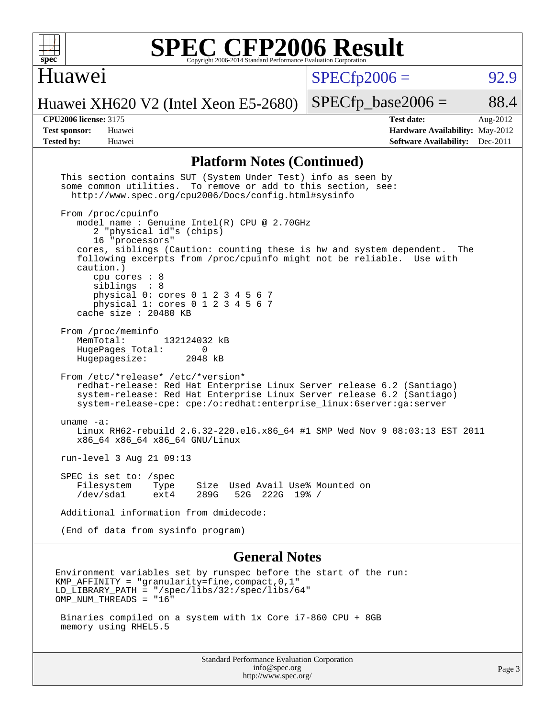

#### Huawei

 $SPECfp2006 = 92.9$  $SPECfp2006 = 92.9$ 

Huawei XH620 V2 (Intel Xeon E5-2680)

 $SPECTp\_base2006 = 88.4$ 

**[CPU2006 license:](http://www.spec.org/auto/cpu2006/Docs/result-fields.html#CPU2006license)** 3175 **[Test date:](http://www.spec.org/auto/cpu2006/Docs/result-fields.html#Testdate)** Aug-2012 **[Test sponsor:](http://www.spec.org/auto/cpu2006/Docs/result-fields.html#Testsponsor)** Huawei **[Hardware Availability:](http://www.spec.org/auto/cpu2006/Docs/result-fields.html#HardwareAvailability)** May-2012 **[Tested by:](http://www.spec.org/auto/cpu2006/Docs/result-fields.html#Testedby)** Huawei **[Software Availability:](http://www.spec.org/auto/cpu2006/Docs/result-fields.html#SoftwareAvailability)** Dec-2011

#### **[Platform Notes \(Continued\)](http://www.spec.org/auto/cpu2006/Docs/result-fields.html#PlatformNotes)**

| This section contains SUT (System Under Test) info as seen by<br>some common utilities. To remove or add to this section, see:<br>http://www.spec.org/cpu2006/Docs/config.html#sysinfo                                                                                                                                                                                                                                    |        |
|---------------------------------------------------------------------------------------------------------------------------------------------------------------------------------------------------------------------------------------------------------------------------------------------------------------------------------------------------------------------------------------------------------------------------|--------|
| From /proc/cpuinfo<br>model name: Genuine Intel(R) CPU @ 2.70GHz<br>2 "physical id"s (chips)<br>16 "processors"<br>cores, siblings (Caution: counting these is hw and system dependent. The<br>following excerpts from /proc/cpuinfo might not be reliable. Use with<br>caution.)<br>cpu cores $: 8$<br>siblings : 8<br>physical 0: cores 0 1 2 3 4 5 6 7<br>physical 1: cores 0 1 2 3 4 5 6 7<br>cache size $: 20480$ KB |        |
| From /proc/meminfo<br>MemTotal:<br>132124032 kB<br>HugePages Total:<br>0<br>2048 kB<br>Hugepagesize:                                                                                                                                                                                                                                                                                                                      |        |
| From /etc/*release* /etc/*version*<br>redhat-release: Red Hat Enterprise Linux Server release 6.2 (Santiago)<br>system-release: Red Hat Enterprise Linux Server release 6.2 (Santiago)<br>system-release-cpe: cpe:/o:redhat:enterprise_linux:6server:ga:server                                                                                                                                                            |        |
| uname $-a$ :<br>Linux RH62-rebuild 2.6.32-220.el6.x86_64 #1 SMP Wed Nov 9 08:03:13 EST 2011<br>x86_64 x86_64 x86_64 GNU/Linux                                                                                                                                                                                                                                                                                             |        |
| run-level $3$ Aug $21$ 09:13                                                                                                                                                                                                                                                                                                                                                                                              |        |
| SPEC is set to: /spec<br>Filesystem<br>Size Used Avail Use% Mounted on<br>Type<br>/dev/sda1<br>289G<br>52G 222G 19% /<br>ext4                                                                                                                                                                                                                                                                                             |        |
| Additional information from dmidecode:                                                                                                                                                                                                                                                                                                                                                                                    |        |
| (End of data from sysinfo program)                                                                                                                                                                                                                                                                                                                                                                                        |        |
| <b>General Notes</b>                                                                                                                                                                                                                                                                                                                                                                                                      |        |
| Environment variables set by runspec before the start of the run:<br>$KMP_A$ FFINITY = "granularity=fine,compact,0,1"<br>$LD_LIBRARY_PATH = "/gpec/libs/32://spec/libs/64"$<br>OMP NUM THREADS = "16"                                                                                                                                                                                                                     |        |
| Binaries compiled on a system with 1x Core i7-860 CPU + 8GB<br>memory using RHEL5.5                                                                                                                                                                                                                                                                                                                                       |        |
| Standard Performance Evaluation Corporation<br>info@spec.org<br>http://www.spec.org/                                                                                                                                                                                                                                                                                                                                      | Page 3 |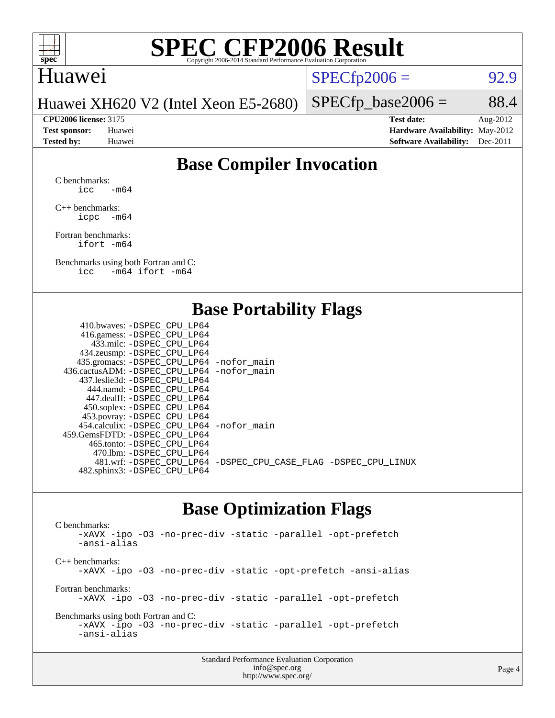

#### Huawei

 $SPECTp2006 = 92.9$ 

 $SPECTp\_base2006 = 88.4$ 

Huawei XH620 V2 (Intel Xeon E5-2680)

**[CPU2006 license:](http://www.spec.org/auto/cpu2006/Docs/result-fields.html#CPU2006license)** 3175 **[Test date:](http://www.spec.org/auto/cpu2006/Docs/result-fields.html#Testdate)** Aug-2012 **[Test sponsor:](http://www.spec.org/auto/cpu2006/Docs/result-fields.html#Testsponsor)** Huawei **[Hardware Availability:](http://www.spec.org/auto/cpu2006/Docs/result-fields.html#HardwareAvailability)** May-2012 **[Tested by:](http://www.spec.org/auto/cpu2006/Docs/result-fields.html#Testedby)** Huawei **[Software Availability:](http://www.spec.org/auto/cpu2006/Docs/result-fields.html#SoftwareAvailability)** Dec-2011

### **[Base Compiler Invocation](http://www.spec.org/auto/cpu2006/Docs/result-fields.html#BaseCompilerInvocation)**

[C benchmarks](http://www.spec.org/auto/cpu2006/Docs/result-fields.html#Cbenchmarks):  $\text{icc}$  -m64

[C++ benchmarks:](http://www.spec.org/auto/cpu2006/Docs/result-fields.html#CXXbenchmarks) [icpc -m64](http://www.spec.org/cpu2006/results/res2012q3/cpu2006-20120904-24406.flags.html#user_CXXbase_intel_icpc_64bit_bedb90c1146cab66620883ef4f41a67e)

[Fortran benchmarks](http://www.spec.org/auto/cpu2006/Docs/result-fields.html#Fortranbenchmarks): [ifort -m64](http://www.spec.org/cpu2006/results/res2012q3/cpu2006-20120904-24406.flags.html#user_FCbase_intel_ifort_64bit_ee9d0fb25645d0210d97eb0527dcc06e)

[Benchmarks using both Fortran and C](http://www.spec.org/auto/cpu2006/Docs/result-fields.html#BenchmarksusingbothFortranandC): [icc -m64](http://www.spec.org/cpu2006/results/res2012q3/cpu2006-20120904-24406.flags.html#user_CC_FCbase_intel_icc_64bit_0b7121f5ab7cfabee23d88897260401c) [ifort -m64](http://www.spec.org/cpu2006/results/res2012q3/cpu2006-20120904-24406.flags.html#user_CC_FCbase_intel_ifort_64bit_ee9d0fb25645d0210d97eb0527dcc06e)

#### **[Base Portability Flags](http://www.spec.org/auto/cpu2006/Docs/result-fields.html#BasePortabilityFlags)**

| 410.bwaves: -DSPEC CPU LP64                 |                                                                |
|---------------------------------------------|----------------------------------------------------------------|
| 416.gamess: - DSPEC_CPU_LP64                |                                                                |
| 433.milc: -DSPEC CPU LP64                   |                                                                |
| 434.zeusmp: -DSPEC_CPU_LP64                 |                                                                |
| 435.gromacs: -DSPEC_CPU_LP64 -nofor_main    |                                                                |
| 436.cactusADM: -DSPEC CPU LP64 -nofor main  |                                                                |
| 437.leslie3d: -DSPEC CPU LP64               |                                                                |
| 444.namd: -DSPEC CPU LP64                   |                                                                |
| 447.dealII: -DSPEC CPU LP64                 |                                                                |
| 450.soplex: -DSPEC_CPU_LP64                 |                                                                |
| 453.povray: -DSPEC_CPU_LP64                 |                                                                |
| 454.calculix: - DSPEC CPU LP64 - nofor main |                                                                |
| 459.GemsFDTD: -DSPEC CPU LP64               |                                                                |
| 465.tonto: - DSPEC CPU LP64                 |                                                                |
| 470.1bm: - DSPEC CPU LP64                   |                                                                |
|                                             | 481.wrf: -DSPEC_CPU_LP64 -DSPEC_CPU_CASE_FLAG -DSPEC_CPU_LINUX |
| 482.sphinx3: -DSPEC_CPU_LP64                |                                                                |
|                                             |                                                                |

#### **[Base Optimization Flags](http://www.spec.org/auto/cpu2006/Docs/result-fields.html#BaseOptimizationFlags)**

[C benchmarks](http://www.spec.org/auto/cpu2006/Docs/result-fields.html#Cbenchmarks): [-xAVX](http://www.spec.org/cpu2006/results/res2012q3/cpu2006-20120904-24406.flags.html#user_CCbase_f-xAVX) [-ipo](http://www.spec.org/cpu2006/results/res2012q3/cpu2006-20120904-24406.flags.html#user_CCbase_f-ipo) [-O3](http://www.spec.org/cpu2006/results/res2012q3/cpu2006-20120904-24406.flags.html#user_CCbase_f-O3) [-no-prec-div](http://www.spec.org/cpu2006/results/res2012q3/cpu2006-20120904-24406.flags.html#user_CCbase_f-no-prec-div) [-static](http://www.spec.org/cpu2006/results/res2012q3/cpu2006-20120904-24406.flags.html#user_CCbase_f-static) [-parallel](http://www.spec.org/cpu2006/results/res2012q3/cpu2006-20120904-24406.flags.html#user_CCbase_f-parallel) [-opt-prefetch](http://www.spec.org/cpu2006/results/res2012q3/cpu2006-20120904-24406.flags.html#user_CCbase_f-opt-prefetch) [-ansi-alias](http://www.spec.org/cpu2006/results/res2012q3/cpu2006-20120904-24406.flags.html#user_CCbase_f-ansi-alias) [C++ benchmarks:](http://www.spec.org/auto/cpu2006/Docs/result-fields.html#CXXbenchmarks) [-xAVX](http://www.spec.org/cpu2006/results/res2012q3/cpu2006-20120904-24406.flags.html#user_CXXbase_f-xAVX) [-ipo](http://www.spec.org/cpu2006/results/res2012q3/cpu2006-20120904-24406.flags.html#user_CXXbase_f-ipo) [-O3](http://www.spec.org/cpu2006/results/res2012q3/cpu2006-20120904-24406.flags.html#user_CXXbase_f-O3) [-no-prec-div](http://www.spec.org/cpu2006/results/res2012q3/cpu2006-20120904-24406.flags.html#user_CXXbase_f-no-prec-div) [-static](http://www.spec.org/cpu2006/results/res2012q3/cpu2006-20120904-24406.flags.html#user_CXXbase_f-static) [-opt-prefetch](http://www.spec.org/cpu2006/results/res2012q3/cpu2006-20120904-24406.flags.html#user_CXXbase_f-opt-prefetch) [-ansi-alias](http://www.spec.org/cpu2006/results/res2012q3/cpu2006-20120904-24406.flags.html#user_CXXbase_f-ansi-alias) [Fortran benchmarks](http://www.spec.org/auto/cpu2006/Docs/result-fields.html#Fortranbenchmarks): [-xAVX](http://www.spec.org/cpu2006/results/res2012q3/cpu2006-20120904-24406.flags.html#user_FCbase_f-xAVX) [-ipo](http://www.spec.org/cpu2006/results/res2012q3/cpu2006-20120904-24406.flags.html#user_FCbase_f-ipo) [-O3](http://www.spec.org/cpu2006/results/res2012q3/cpu2006-20120904-24406.flags.html#user_FCbase_f-O3) [-no-prec-div](http://www.spec.org/cpu2006/results/res2012q3/cpu2006-20120904-24406.flags.html#user_FCbase_f-no-prec-div) [-static](http://www.spec.org/cpu2006/results/res2012q3/cpu2006-20120904-24406.flags.html#user_FCbase_f-static) [-parallel](http://www.spec.org/cpu2006/results/res2012q3/cpu2006-20120904-24406.flags.html#user_FCbase_f-parallel) [-opt-prefetch](http://www.spec.org/cpu2006/results/res2012q3/cpu2006-20120904-24406.flags.html#user_FCbase_f-opt-prefetch) [Benchmarks using both Fortran and C](http://www.spec.org/auto/cpu2006/Docs/result-fields.html#BenchmarksusingbothFortranandC): [-xAVX](http://www.spec.org/cpu2006/results/res2012q3/cpu2006-20120904-24406.flags.html#user_CC_FCbase_f-xAVX) [-ipo](http://www.spec.org/cpu2006/results/res2012q3/cpu2006-20120904-24406.flags.html#user_CC_FCbase_f-ipo) [-O3](http://www.spec.org/cpu2006/results/res2012q3/cpu2006-20120904-24406.flags.html#user_CC_FCbase_f-O3) [-no-prec-div](http://www.spec.org/cpu2006/results/res2012q3/cpu2006-20120904-24406.flags.html#user_CC_FCbase_f-no-prec-div) [-static](http://www.spec.org/cpu2006/results/res2012q3/cpu2006-20120904-24406.flags.html#user_CC_FCbase_f-static) [-parallel](http://www.spec.org/cpu2006/results/res2012q3/cpu2006-20120904-24406.flags.html#user_CC_FCbase_f-parallel) [-opt-prefetch](http://www.spec.org/cpu2006/results/res2012q3/cpu2006-20120904-24406.flags.html#user_CC_FCbase_f-opt-prefetch) [-ansi-alias](http://www.spec.org/cpu2006/results/res2012q3/cpu2006-20120904-24406.flags.html#user_CC_FCbase_f-ansi-alias)

| <b>Standard Performance Evaluation Corporation</b> |  |
|----------------------------------------------------|--|
| info@spec.org                                      |  |
| http://www.spec.org/                               |  |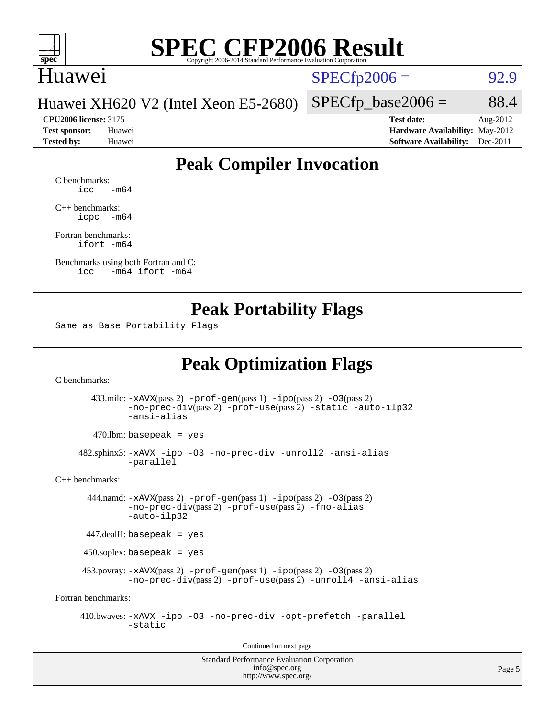

#### Huawei

 $SPECfp2006 = 92.9$  $SPECfp2006 = 92.9$ 

Huawei XH620 V2 (Intel Xeon E5-2680)

**[CPU2006 license:](http://www.spec.org/auto/cpu2006/Docs/result-fields.html#CPU2006license)** 3175 **[Test date:](http://www.spec.org/auto/cpu2006/Docs/result-fields.html#Testdate)** Aug-2012

 $SPECTp\_base2006 = 88.4$ 

**[Test sponsor:](http://www.spec.org/auto/cpu2006/Docs/result-fields.html#Testsponsor)** Huawei **[Hardware Availability:](http://www.spec.org/auto/cpu2006/Docs/result-fields.html#HardwareAvailability)** May-2012 **[Tested by:](http://www.spec.org/auto/cpu2006/Docs/result-fields.html#Testedby)** Huawei **[Software Availability:](http://www.spec.org/auto/cpu2006/Docs/result-fields.html#SoftwareAvailability)** Dec-2011

### **[Peak Compiler Invocation](http://www.spec.org/auto/cpu2006/Docs/result-fields.html#PeakCompilerInvocation)**

[C benchmarks](http://www.spec.org/auto/cpu2006/Docs/result-fields.html#Cbenchmarks):  $\text{icc}$   $-\text{m64}$ 

[C++ benchmarks:](http://www.spec.org/auto/cpu2006/Docs/result-fields.html#CXXbenchmarks) [icpc -m64](http://www.spec.org/cpu2006/results/res2012q3/cpu2006-20120904-24406.flags.html#user_CXXpeak_intel_icpc_64bit_bedb90c1146cab66620883ef4f41a67e)

[Fortran benchmarks](http://www.spec.org/auto/cpu2006/Docs/result-fields.html#Fortranbenchmarks): [ifort -m64](http://www.spec.org/cpu2006/results/res2012q3/cpu2006-20120904-24406.flags.html#user_FCpeak_intel_ifort_64bit_ee9d0fb25645d0210d97eb0527dcc06e)

[Benchmarks using both Fortran and C](http://www.spec.org/auto/cpu2006/Docs/result-fields.html#BenchmarksusingbothFortranandC): [icc -m64](http://www.spec.org/cpu2006/results/res2012q3/cpu2006-20120904-24406.flags.html#user_CC_FCpeak_intel_icc_64bit_0b7121f5ab7cfabee23d88897260401c) [ifort -m64](http://www.spec.org/cpu2006/results/res2012q3/cpu2006-20120904-24406.flags.html#user_CC_FCpeak_intel_ifort_64bit_ee9d0fb25645d0210d97eb0527dcc06e)

#### **[Peak Portability Flags](http://www.spec.org/auto/cpu2006/Docs/result-fields.html#PeakPortabilityFlags)**

Same as Base Portability Flags

### **[Peak Optimization Flags](http://www.spec.org/auto/cpu2006/Docs/result-fields.html#PeakOptimizationFlags)**

[C benchmarks](http://www.spec.org/auto/cpu2006/Docs/result-fields.html#Cbenchmarks):

 433.milc: [-xAVX](http://www.spec.org/cpu2006/results/res2012q3/cpu2006-20120904-24406.flags.html#user_peakPASS2_CFLAGSPASS2_LDFLAGS433_milc_f-xAVX)(pass 2) [-prof-gen](http://www.spec.org/cpu2006/results/res2012q3/cpu2006-20120904-24406.flags.html#user_peakPASS1_CFLAGSPASS1_LDFLAGS433_milc_prof_gen_e43856698f6ca7b7e442dfd80e94a8fc)(pass 1) [-ipo](http://www.spec.org/cpu2006/results/res2012q3/cpu2006-20120904-24406.flags.html#user_peakPASS2_CFLAGSPASS2_LDFLAGS433_milc_f-ipo)(pass 2) [-O3](http://www.spec.org/cpu2006/results/res2012q3/cpu2006-20120904-24406.flags.html#user_peakPASS2_CFLAGSPASS2_LDFLAGS433_milc_f-O3)(pass 2) [-no-prec-div](http://www.spec.org/cpu2006/results/res2012q3/cpu2006-20120904-24406.flags.html#user_peakPASS2_CFLAGSPASS2_LDFLAGS433_milc_f-no-prec-div)(pass 2) [-prof-use](http://www.spec.org/cpu2006/results/res2012q3/cpu2006-20120904-24406.flags.html#user_peakPASS2_CFLAGSPASS2_LDFLAGS433_milc_prof_use_bccf7792157ff70d64e32fe3e1250b55)(pass 2) [-static](http://www.spec.org/cpu2006/results/res2012q3/cpu2006-20120904-24406.flags.html#user_peakOPTIMIZE433_milc_f-static) [-auto-ilp32](http://www.spec.org/cpu2006/results/res2012q3/cpu2006-20120904-24406.flags.html#user_peakCOPTIMIZE433_milc_f-auto-ilp32) [-ansi-alias](http://www.spec.org/cpu2006/results/res2012q3/cpu2006-20120904-24406.flags.html#user_peakCOPTIMIZE433_milc_f-ansi-alias)

 $470.$ lbm: basepeak = yes

 482.sphinx3: [-xAVX](http://www.spec.org/cpu2006/results/res2012q3/cpu2006-20120904-24406.flags.html#user_peakOPTIMIZE482_sphinx3_f-xAVX) [-ipo](http://www.spec.org/cpu2006/results/res2012q3/cpu2006-20120904-24406.flags.html#user_peakOPTIMIZE482_sphinx3_f-ipo) [-O3](http://www.spec.org/cpu2006/results/res2012q3/cpu2006-20120904-24406.flags.html#user_peakOPTIMIZE482_sphinx3_f-O3) [-no-prec-div](http://www.spec.org/cpu2006/results/res2012q3/cpu2006-20120904-24406.flags.html#user_peakOPTIMIZE482_sphinx3_f-no-prec-div) [-unroll2](http://www.spec.org/cpu2006/results/res2012q3/cpu2006-20120904-24406.flags.html#user_peakCOPTIMIZE482_sphinx3_f-unroll_784dae83bebfb236979b41d2422d7ec2) [-ansi-alias](http://www.spec.org/cpu2006/results/res2012q3/cpu2006-20120904-24406.flags.html#user_peakCOPTIMIZE482_sphinx3_f-ansi-alias) [-parallel](http://www.spec.org/cpu2006/results/res2012q3/cpu2006-20120904-24406.flags.html#user_peakCOPTIMIZE482_sphinx3_f-parallel)

[C++ benchmarks:](http://www.spec.org/auto/cpu2006/Docs/result-fields.html#CXXbenchmarks)

 444.namd: [-xAVX](http://www.spec.org/cpu2006/results/res2012q3/cpu2006-20120904-24406.flags.html#user_peakPASS2_CXXFLAGSPASS2_LDFLAGS444_namd_f-xAVX)(pass 2) [-prof-gen](http://www.spec.org/cpu2006/results/res2012q3/cpu2006-20120904-24406.flags.html#user_peakPASS1_CXXFLAGSPASS1_LDFLAGS444_namd_prof_gen_e43856698f6ca7b7e442dfd80e94a8fc)(pass 1) [-ipo](http://www.spec.org/cpu2006/results/res2012q3/cpu2006-20120904-24406.flags.html#user_peakPASS2_CXXFLAGSPASS2_LDFLAGS444_namd_f-ipo)(pass 2) [-O3](http://www.spec.org/cpu2006/results/res2012q3/cpu2006-20120904-24406.flags.html#user_peakPASS2_CXXFLAGSPASS2_LDFLAGS444_namd_f-O3)(pass 2) [-no-prec-div](http://www.spec.org/cpu2006/results/res2012q3/cpu2006-20120904-24406.flags.html#user_peakPASS2_CXXFLAGSPASS2_LDFLAGS444_namd_f-no-prec-div)(pass 2) [-prof-use](http://www.spec.org/cpu2006/results/res2012q3/cpu2006-20120904-24406.flags.html#user_peakPASS2_CXXFLAGSPASS2_LDFLAGS444_namd_prof_use_bccf7792157ff70d64e32fe3e1250b55)(pass 2) [-fno-alias](http://www.spec.org/cpu2006/results/res2012q3/cpu2006-20120904-24406.flags.html#user_peakCXXOPTIMIZEOPTIMIZE444_namd_f-no-alias_694e77f6c5a51e658e82ccff53a9e63a) [-auto-ilp32](http://www.spec.org/cpu2006/results/res2012q3/cpu2006-20120904-24406.flags.html#user_peakCXXOPTIMIZE444_namd_f-auto-ilp32)

447.dealII: basepeak = yes

450.soplex: basepeak = yes

 453.povray: [-xAVX](http://www.spec.org/cpu2006/results/res2012q3/cpu2006-20120904-24406.flags.html#user_peakPASS2_CXXFLAGSPASS2_LDFLAGS453_povray_f-xAVX)(pass 2) [-prof-gen](http://www.spec.org/cpu2006/results/res2012q3/cpu2006-20120904-24406.flags.html#user_peakPASS1_CXXFLAGSPASS1_LDFLAGS453_povray_prof_gen_e43856698f6ca7b7e442dfd80e94a8fc)(pass 1) [-ipo](http://www.spec.org/cpu2006/results/res2012q3/cpu2006-20120904-24406.flags.html#user_peakPASS2_CXXFLAGSPASS2_LDFLAGS453_povray_f-ipo)(pass 2) [-O3](http://www.spec.org/cpu2006/results/res2012q3/cpu2006-20120904-24406.flags.html#user_peakPASS2_CXXFLAGSPASS2_LDFLAGS453_povray_f-O3)(pass 2) [-no-prec-div](http://www.spec.org/cpu2006/results/res2012q3/cpu2006-20120904-24406.flags.html#user_peakPASS2_CXXFLAGSPASS2_LDFLAGS453_povray_f-no-prec-div)(pass 2) [-prof-use](http://www.spec.org/cpu2006/results/res2012q3/cpu2006-20120904-24406.flags.html#user_peakPASS2_CXXFLAGSPASS2_LDFLAGS453_povray_prof_use_bccf7792157ff70d64e32fe3e1250b55)(pass 2) [-unroll4](http://www.spec.org/cpu2006/results/res2012q3/cpu2006-20120904-24406.flags.html#user_peakCXXOPTIMIZE453_povray_f-unroll_4e5e4ed65b7fd20bdcd365bec371b81f) [-ansi-alias](http://www.spec.org/cpu2006/results/res2012q3/cpu2006-20120904-24406.flags.html#user_peakCXXOPTIMIZE453_povray_f-ansi-alias)

[Fortran benchmarks](http://www.spec.org/auto/cpu2006/Docs/result-fields.html#Fortranbenchmarks):

 410.bwaves: [-xAVX](http://www.spec.org/cpu2006/results/res2012q3/cpu2006-20120904-24406.flags.html#user_peakOPTIMIZE410_bwaves_f-xAVX) [-ipo](http://www.spec.org/cpu2006/results/res2012q3/cpu2006-20120904-24406.flags.html#user_peakOPTIMIZE410_bwaves_f-ipo) [-O3](http://www.spec.org/cpu2006/results/res2012q3/cpu2006-20120904-24406.flags.html#user_peakOPTIMIZE410_bwaves_f-O3) [-no-prec-div](http://www.spec.org/cpu2006/results/res2012q3/cpu2006-20120904-24406.flags.html#user_peakOPTIMIZE410_bwaves_f-no-prec-div) [-opt-prefetch](http://www.spec.org/cpu2006/results/res2012q3/cpu2006-20120904-24406.flags.html#user_peakOPTIMIZE410_bwaves_f-opt-prefetch) [-parallel](http://www.spec.org/cpu2006/results/res2012q3/cpu2006-20120904-24406.flags.html#user_peakOPTIMIZE410_bwaves_f-parallel) [-static](http://www.spec.org/cpu2006/results/res2012q3/cpu2006-20120904-24406.flags.html#user_peakOPTIMIZE410_bwaves_f-static)

Continued on next page

Standard Performance Evaluation Corporation [info@spec.org](mailto:info@spec.org) <http://www.spec.org/>